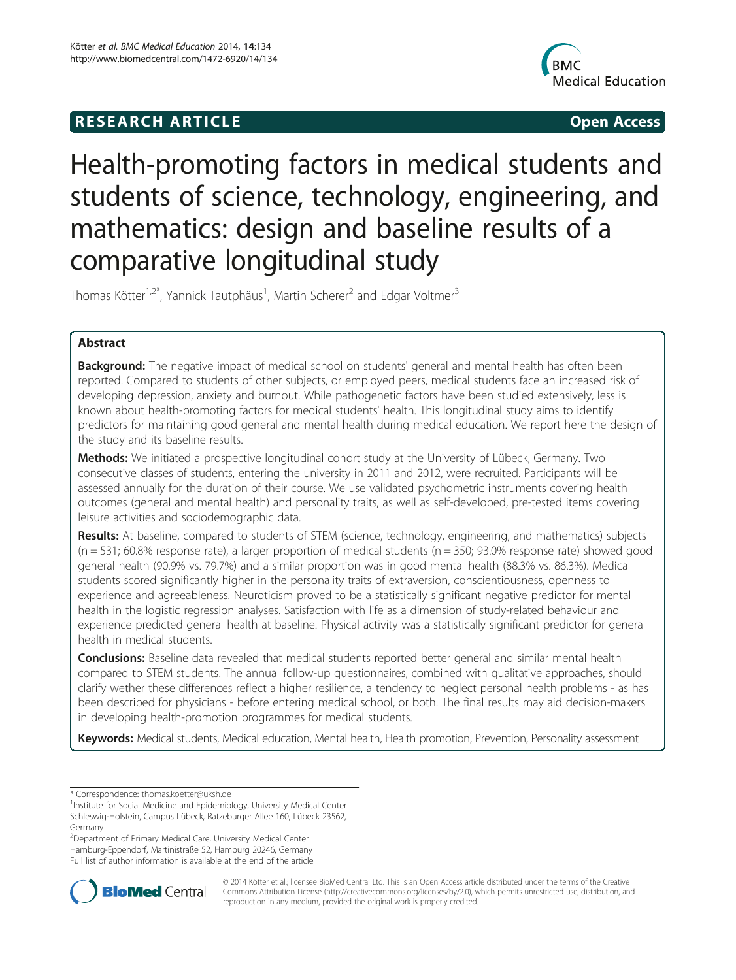# **RESEARCH ARTICLE Example 2014 CONSIDERING CONSIDERING CONSIDERING CONSIDERING CONSIDERING CONSIDERING CONSIDERING CONSIDERING CONSIDERING CONSIDERING CONSIDERING CONSIDERING CONSIDERING CONSIDERING CONSIDERING CONSIDE**



# Health-promoting factors in medical students and students of science, technology, engineering, and mathematics: design and baseline results of a comparative longitudinal study

Thomas Kötter<sup>1,2\*</sup>, Yannick Tautphäus<sup>1</sup>, Martin Scherer<sup>2</sup> and Edgar Voltmer<sup>3</sup>

# Abstract

**Background:** The negative impact of medical school on students' general and mental health has often been reported. Compared to students of other subjects, or employed peers, medical students face an increased risk of developing depression, anxiety and burnout. While pathogenetic factors have been studied extensively, less is known about health-promoting factors for medical students' health. This longitudinal study aims to identify predictors for maintaining good general and mental health during medical education. We report here the design of the study and its baseline results.

Methods: We initiated a prospective longitudinal cohort study at the University of Lübeck, Germany. Two consecutive classes of students, entering the university in 2011 and 2012, were recruited. Participants will be assessed annually for the duration of their course. We use validated psychometric instruments covering health outcomes (general and mental health) and personality traits, as well as self-developed, pre-tested items covering leisure activities and sociodemographic data.

Results: At baseline, compared to students of STEM (science, technology, engineering, and mathematics) subjects  $(n = 531; 60.8\%$  response rate), a larger proportion of medical students  $(n = 350; 93.0\%$  response rate) showed good general health (90.9% vs. 79.7%) and a similar proportion was in good mental health (88.3% vs. 86.3%). Medical students scored significantly higher in the personality traits of extraversion, conscientiousness, openness to experience and agreeableness. Neuroticism proved to be a statistically significant negative predictor for mental health in the logistic regression analyses. Satisfaction with life as a dimension of study-related behaviour and experience predicted general health at baseline. Physical activity was a statistically significant predictor for general health in medical students.

**Conclusions:** Baseline data revealed that medical students reported better general and similar mental health compared to STEM students. The annual follow-up questionnaires, combined with qualitative approaches, should clarify wether these differences reflect a higher resilience, a tendency to neglect personal health problems - as has been described for physicians - before entering medical school, or both. The final results may aid decision-makers in developing health-promotion programmes for medical students.

Keywords: Medical students, Medical education, Mental health, Health promotion, Prevention, Personality assessment

Germany 2 Department of Primary Medical Care, University Medical Center

Hamburg-Eppendorf, Martinistraße 52, Hamburg 20246, Germany Full list of author information is available at the end of the article



© 2014 Kötter et al.; licensee BioMed Central Ltd. This is an Open Access article distributed under the terms of the Creative Commons Attribution License [\(http://creativecommons.org/licenses/by/2.0\)](http://creativecommons.org/licenses/by/2.0), which permits unrestricted use, distribution, and reproduction in any medium, provided the original work is properly credited.

<sup>\*</sup> Correspondence: [thomas.koetter@uksh.de](mailto:thomas.koetter@uksh.de) <sup>1</sup>

<sup>&</sup>lt;sup>1</sup>Institute for Social Medicine and Epidemiology, University Medical Center Schleswig-Holstein, Campus Lübeck, Ratzeburger Allee 160, Lübeck 23562,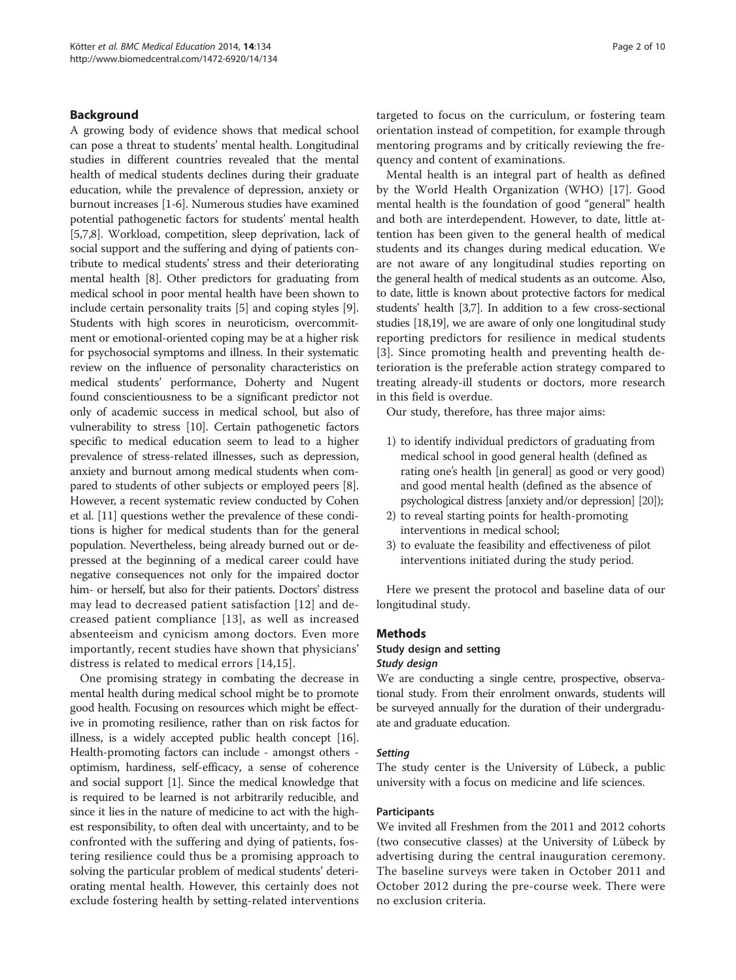# Background

A growing body of evidence shows that medical school can pose a threat to students' mental health. Longitudinal studies in different countries revealed that the mental health of medical students declines during their graduate education, while the prevalence of depression, anxiety or burnout increases [\[1-6](#page-8-0)]. Numerous studies have examined potential pathogenetic factors for students' mental health [[5,7](#page-8-0),[8](#page-8-0)]. Workload, competition, sleep deprivation, lack of social support and the suffering and dying of patients contribute to medical students' stress and their deteriorating mental health [[8\]](#page-8-0). Other predictors for graduating from medical school in poor mental health have been shown to include certain personality traits [\[5](#page-8-0)] and coping styles [[9](#page-8-0)]. Students with high scores in neuroticism, overcommitment or emotional-oriented coping may be at a higher risk for psychosocial symptoms and illness. In their systematic review on the influence of personality characteristics on medical students' performance, Doherty and Nugent found conscientiousness to be a significant predictor not only of academic success in medical school, but also of vulnerability to stress [[10](#page-8-0)]. Certain pathogenetic factors specific to medical education seem to lead to a higher prevalence of stress-related illnesses, such as depression, anxiety and burnout among medical students when compared to students of other subjects or employed peers [[8](#page-8-0)]. However, a recent systematic review conducted by Cohen et al. [\[11\]](#page-8-0) questions wether the prevalence of these conditions is higher for medical students than for the general population. Nevertheless, being already burned out or depressed at the beginning of a medical career could have negative consequences not only for the impaired doctor him- or herself, but also for their patients. Doctors' distress may lead to decreased patient satisfaction [[12\]](#page-8-0) and decreased patient compliance [[13](#page-8-0)], as well as increased absenteeism and cynicism among doctors. Even more importantly, recent studies have shown that physicians' distress is related to medical errors [[14,15\]](#page-8-0).

One promising strategy in combating the decrease in mental health during medical school might be to promote good health. Focusing on resources which might be effective in promoting resilience, rather than on risk factos for illness, is a widely accepted public health concept [[16](#page-8-0)]. Health-promoting factors can include - amongst others optimism, hardiness, self-efficacy, a sense of coherence and social support [[1](#page-8-0)]. Since the medical knowledge that is required to be learned is not arbitrarily reducible, and since it lies in the nature of medicine to act with the highest responsibility, to often deal with uncertainty, and to be confronted with the suffering and dying of patients, fostering resilience could thus be a promising approach to solving the particular problem of medical students' deteriorating mental health. However, this certainly does not exclude fostering health by setting-related interventions targeted to focus on the curriculum, or fostering team orientation instead of competition, for example through mentoring programs and by critically reviewing the frequency and content of examinations.

Mental health is an integral part of health as defined by the World Health Organization (WHO) [\[17](#page-8-0)]. Good mental health is the foundation of good "general" health and both are interdependent. However, to date, little attention has been given to the general health of medical students and its changes during medical education. We are not aware of any longitudinal studies reporting on the general health of medical students as an outcome. Also, to date, little is known about protective factors for medical students' health [\[3,7\]](#page-8-0). In addition to a few cross-sectional studies [\[18,19](#page-8-0)], we are aware of only one longitudinal study reporting predictors for resilience in medical students [[3\]](#page-8-0). Since promoting health and preventing health deterioration is the preferable action strategy compared to treating already-ill students or doctors, more research in this field is overdue.

Our study, therefore, has three major aims:

- 1) to identify individual predictors of graduating from medical school in good general health (defined as rating one's health [in general] as good or very good) and good mental health (defined as the absence of psychological distress [anxiety and/or depression] [[20\]](#page-8-0));
- 2) to reveal starting points for health-promoting interventions in medical school;
- 3) to evaluate the feasibility and effectiveness of pilot interventions initiated during the study period.

Here we present the protocol and baseline data of our longitudinal study.

# Methods

# Study design and setting Study design

We are conducting a single centre, prospective, observational study. From their enrolment onwards, students will be surveyed annually for the duration of their undergraduate and graduate education.

#### Setting

The study center is the University of Lübeck, a public university with a focus on medicine and life sciences.

#### **Participants**

We invited all Freshmen from the 2011 and 2012 cohorts (two consecutive classes) at the University of Lübeck by advertising during the central inauguration ceremony. The baseline surveys were taken in October 2011 and October 2012 during the pre-course week. There were no exclusion criteria.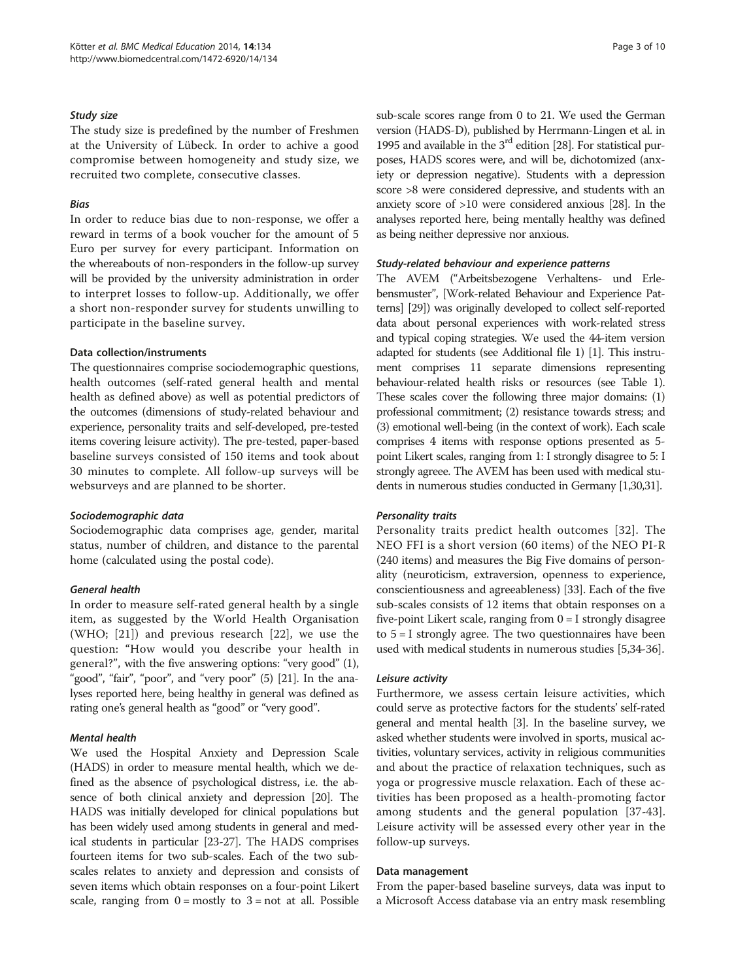#### Study size

The study size is predefined by the number of Freshmen at the University of Lübeck. In order to achive a good compromise between homogeneity and study size, we recruited two complete, consecutive classes.

#### Bias

In order to reduce bias due to non-response, we offer a reward in terms of a book voucher for the amount of 5 Euro per survey for every participant. Information on the whereabouts of non-responders in the follow-up survey will be provided by the university administration in order to interpret losses to follow-up. Additionally, we offer a short non-responder survey for students unwilling to participate in the baseline survey.

#### Data collection/instruments

The questionnaires comprise sociodemographic questions, health outcomes (self-rated general health and mental health as defined above) as well as potential predictors of the outcomes (dimensions of study-related behaviour and experience, personality traits and self-developed, pre-tested items covering leisure activity). The pre-tested, paper-based baseline surveys consisted of 150 items and took about 30 minutes to complete. All follow-up surveys will be websurveys and are planned to be shorter.

#### Sociodemographic data

Sociodemographic data comprises age, gender, marital status, number of children, and distance to the parental home (calculated using the postal code).

## General health

In order to measure self-rated general health by a single item, as suggested by the World Health Organisation (WHO; [[21\]](#page-8-0)) and previous research [[22\]](#page-8-0), we use the question: "How would you describe your health in general?", with the five answering options: "very good" (1), "good", "fair", "poor", and "very poor" (5) [[21](#page-8-0)]. In the analyses reported here, being healthy in general was defined as rating one's general health as "good" or "very good".

#### Mental health

We used the Hospital Anxiety and Depression Scale (HADS) in order to measure mental health, which we defined as the absence of psychological distress, i.e. the absence of both clinical anxiety and depression [\[20\]](#page-8-0). The HADS was initially developed for clinical populations but has been widely used among students in general and medical students in particular [\[23](#page-8-0)-[27](#page-8-0)]. The HADS comprises fourteen items for two sub-scales. Each of the two subscales relates to anxiety and depression and consists of seven items which obtain responses on a four-point Likert scale, ranging from  $0 = \text{mostly}$  to  $3 = \text{not}$  at all. Possible sub-scale scores range from 0 to 21. We used the German version (HADS-D), published by Herrmann-Lingen et al. in 1995 and available in the  $3<sup>rd</sup>$  edition [\[28\]](#page-8-0). For statistical purposes, HADS scores were, and will be, dichotomized (anxiety or depression negative). Students with a depression score >8 were considered depressive, and students with an anxiety score of >10 were considered anxious [[28](#page-8-0)]. In the analyses reported here, being mentally healthy was defined as being neither depressive nor anxious.

#### Study-related behaviour and experience patterns

The AVEM ("Arbeitsbezogene Verhaltens- und Erlebensmuster", [Work-related Behaviour and Experience Patterns] [\[29](#page-8-0)]) was originally developed to collect self-reported data about personal experiences with work-related stress and typical coping strategies. We used the 44-item version adapted for students (see Additional file [1](#page-7-0)) [\[1\]](#page-8-0). This instrument comprises 11 separate dimensions representing behaviour-related health risks or resources (see Table [1](#page-3-0)). These scales cover the following three major domains: (1) professional commitment; (2) resistance towards stress; and (3) emotional well-being (in the context of work). Each scale comprises 4 items with response options presented as 5 point Likert scales, ranging from 1: I strongly disagree to 5: I strongly agreee. The AVEM has been used with medical students in numerous studies conducted in Germany [\[1,30,31](#page-8-0)].

#### Personality traits

Personality traits predict health outcomes [[32](#page-8-0)]. The NEO FFI is a short version (60 items) of the NEO PI-R (240 items) and measures the Big Five domains of personality (neuroticism, extraversion, openness to experience, conscientiousness and agreeableness) [\[33\]](#page-8-0). Each of the five sub-scales consists of 12 items that obtain responses on a five-point Likert scale, ranging from  $0 = I$  strongly disagree to 5 = I strongly agree. The two questionnaires have been used with medical students in numerous studies [[5,34](#page-8-0)-[36](#page-8-0)].

#### Leisure activity

Furthermore, we assess certain leisure activities, which could serve as protective factors for the students' self-rated general and mental health [\[3\]](#page-8-0). In the baseline survey, we asked whether students were involved in sports, musical activities, voluntary services, activity in religious communities and about the practice of relaxation techniques, such as yoga or progressive muscle relaxation. Each of these activities has been proposed as a health-promoting factor among students and the general population [\[37-43](#page-8-0)]. Leisure activity will be assessed every other year in the follow-up surveys.

#### Data management

From the paper-based baseline surveys, data was input to a Microsoft Access database via an entry mask resembling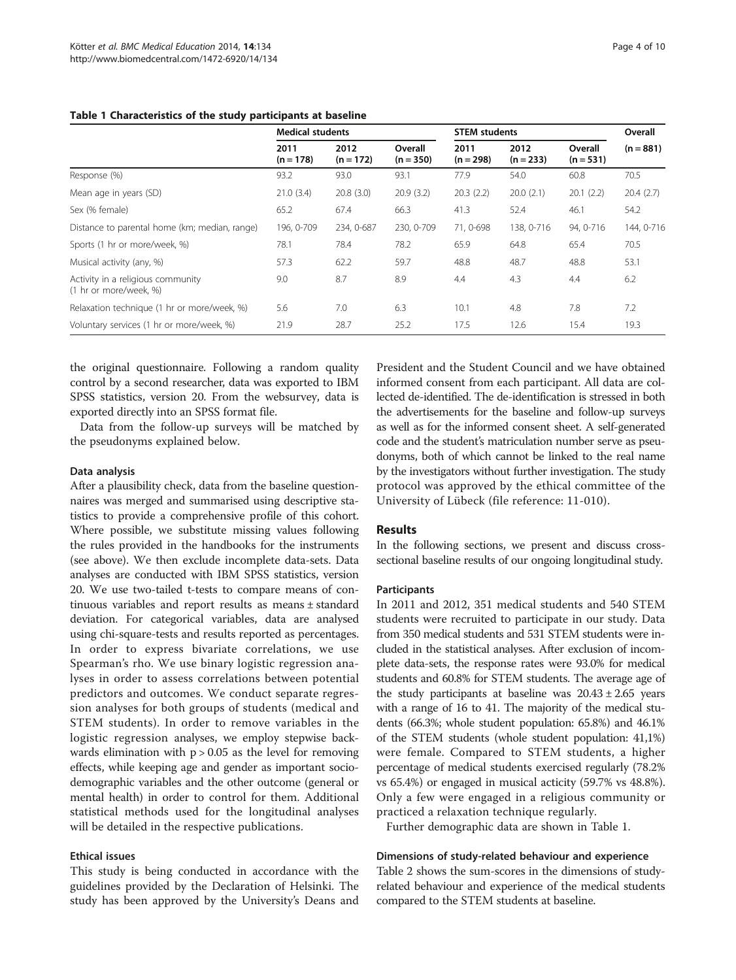<span id="page-3-0"></span>

| Table 1 Characteristics of the study participants at baseline |  |  |  |  |  |
|---------------------------------------------------------------|--|--|--|--|--|
|---------------------------------------------------------------|--|--|--|--|--|

|                                                             | <b>Medical students</b> |                     |                        | <b>STEM students</b> |                     |                        | Overall     |
|-------------------------------------------------------------|-------------------------|---------------------|------------------------|----------------------|---------------------|------------------------|-------------|
|                                                             | 2011<br>$(n = 178)$     | 2012<br>$(n = 172)$ | Overall<br>$(n = 350)$ | 2011<br>$(n = 298)$  | 2012<br>$(n = 233)$ | Overall<br>$(n = 531)$ | $(n = 881)$ |
| Response (%)                                                | 93.2                    | 93.0                | 93.1                   | 77.9                 | 54.0                | 60.8                   | 70.5        |
| Mean age in years (SD)                                      | 21.0(3.4)               | 20.8(3.0)           | 20.9(3.2)              | 20.3(2.2)            | 20.0(2.1)           | 20.1(2.2)              | 20.4(2.7)   |
| Sex (% female)                                              | 65.2                    | 67.4                | 66.3                   | 41.3                 | 52.4                | 46.1                   | 54.2        |
| Distance to parental home (km; median, range)               | 196.0-709               | 234, 0-687          | 230, 0-709             | 71, 0-698            | 138.0-716           | 94.0-716               | 144, 0-716  |
| Sports (1 hr or more/week, %)                               | 78.1                    | 78.4                | 78.2                   | 65.9                 | 64.8                | 65.4                   | 70.5        |
| Musical activity (any, %)                                   | 57.3                    | 62.2                | 59.7                   | 48.8                 | 48.7                | 48.8                   | 53.1        |
| Activity in a religious community<br>(1 hr or more/week, %) | 9.0                     | 8.7                 | 8.9                    | 4.4                  | 4.3                 | 4.4                    | 6.2         |
| Relaxation technique (1 hr or more/week, %)                 | 5.6                     | 7.0                 | 6.3                    | 10.1                 | 4.8                 | 7.8                    | 7.2         |
| Voluntary services (1 hr or more/week, %)                   | 21.9                    | 28.7                | 25.2                   | 17.5                 | 12.6                | 15.4                   | 19.3        |

the original questionnaire. Following a random quality control by a second researcher, data was exported to IBM SPSS statistics, version 20. From the websurvey, data is exported directly into an SPSS format file.

Data from the follow-up surveys will be matched by the pseudonyms explained below.

#### Data analysis

After a plausibility check, data from the baseline questionnaires was merged and summarised using descriptive statistics to provide a comprehensive profile of this cohort. Where possible, we substitute missing values following the rules provided in the handbooks for the instruments (see above). We then exclude incomplete data-sets. Data analyses are conducted with IBM SPSS statistics, version 20. We use two-tailed t-tests to compare means of continuous variables and report results as means ± standard deviation. For categorical variables, data are analysed using chi-square-tests and results reported as percentages. In order to express bivariate correlations, we use Spearman's rho. We use binary logistic regression analyses in order to assess correlations between potential predictors and outcomes. We conduct separate regression analyses for both groups of students (medical and STEM students). In order to remove variables in the logistic regression analyses, we employ stepwise backwards elimination with  $p > 0.05$  as the level for removing effects, while keeping age and gender as important sociodemographic variables and the other outcome (general or mental health) in order to control for them. Additional statistical methods used for the longitudinal analyses will be detailed in the respective publications.

# Ethical issues

This study is being conducted in accordance with the guidelines provided by the Declaration of Helsinki. The study has been approved by the University's Deans and

President and the Student Council and we have obtained informed consent from each participant. All data are collected de-identified. The de-identification is stressed in both the advertisements for the baseline and follow-up surveys as well as for the informed consent sheet. A self-generated code and the student's matriculation number serve as pseudonyms, both of which cannot be linked to the real name by the investigators without further investigation. The study protocol was approved by the ethical committee of the University of Lübeck (file reference: 11-010).

#### Results

In the following sections, we present and discuss crosssectional baseline results of our ongoing longitudinal study.

#### Participants

In 2011 and 2012, 351 medical students and 540 STEM students were recruited to participate in our study. Data from 350 medical students and 531 STEM students were included in the statistical analyses. After exclusion of incomplete data-sets, the response rates were 93.0% for medical students and 60.8% for STEM students. The average age of the study participants at baseline was  $20.43 \pm 2.65$  years with a range of 16 to 41. The majority of the medical students (66.3%; whole student population: 65.8%) and 46.1% of the STEM students (whole student population: 41,1%) were female. Compared to STEM students, a higher percentage of medical students exercised regularly (78.2% vs 65.4%) or engaged in musical acticity (59.7% vs 48.8%). Only a few were engaged in a religious community or practiced a relaxation technique regularly.

Further demographic data are shown in Table 1.

#### Dimensions of study-related behaviour and experience

Table [2](#page-4-0) shows the sum-scores in the dimensions of studyrelated behaviour and experience of the medical students compared to the STEM students at baseline.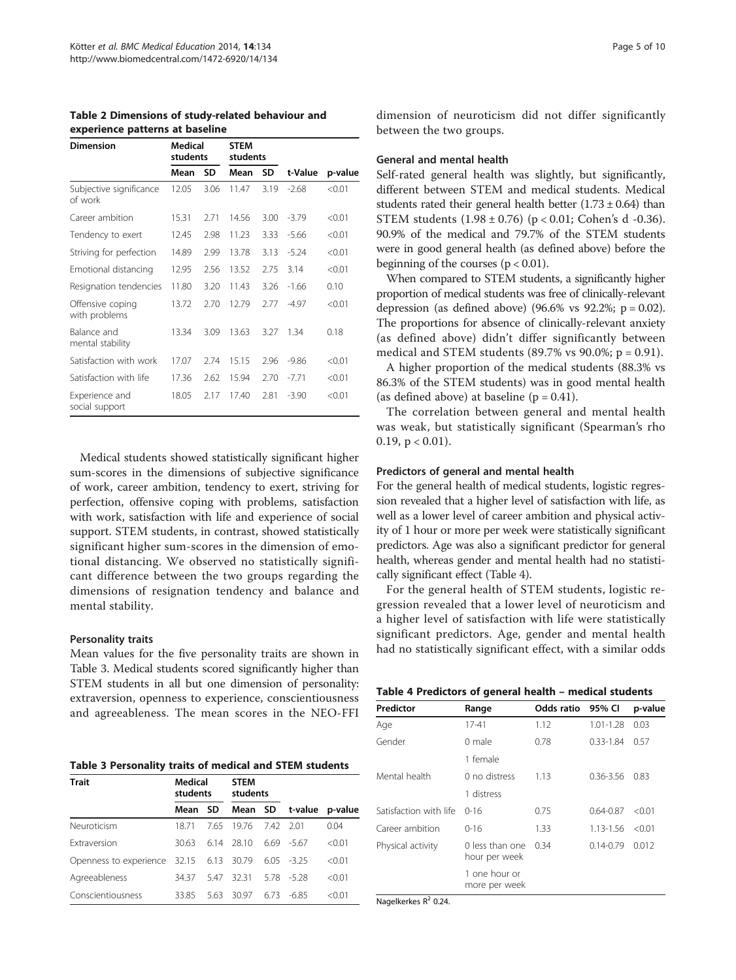<span id="page-4-0"></span>

| Table 2 Dimensions of study-related behaviour and |  |  |
|---------------------------------------------------|--|--|
| experience patterns at baseline                   |  |  |

| <b>Dimension</b>                   | Medical<br>students |      | <b>STEM</b><br>students |      |         |         |
|------------------------------------|---------------------|------|-------------------------|------|---------|---------|
|                                    | Mean                | SD   | Mean                    | SD   | t-Value | p-value |
| Subjective significance<br>of work | 12.05               | 3.06 | 11.47                   | 3.19 | $-2.68$ | < 0.01  |
| Career ambition                    | 15.31               | 2.71 | 14.56                   | 3.00 | $-3.79$ | < 0.01  |
| Tendency to exert                  | 12.45               | 2.98 | 11.23                   | 3.33 | $-5.66$ | < 0.01  |
| Striving for perfection            | 14.89               | 2.99 | 13.78                   | 3.13 | $-5.24$ | < 0.01  |
| Emotional distancing               | 12.95               | 2.56 | 13.52                   | 2.75 | 3.14    | < 0.01  |
| Resignation tendencies             | 11.80               | 3.20 | 11.43                   | 3.26 | $-1.66$ | 0.10    |
| Offensive coping<br>with problems  | 13.72               | 2.70 | 12.79                   | 2.77 | $-4.97$ | < 0.01  |
| Balance and<br>mental stability    | 13.34               | 3.09 | 13.63                   | 3.27 | 1.34    | 0.18    |
| Satisfaction with work             | 17.07               | 2.74 | 15.15                   | 2.96 | $-9.86$ | < 0.01  |
| Satisfaction with life             | 17.36               | 2.62 | 15.94                   | 2.70 | $-7.71$ | < 0.01  |
| Experience and<br>social support   | 18.05               | 2.17 | 17.40                   | 2.81 | $-3.90$ | < 0.01  |

Medical students showed statistically significant higher sum-scores in the dimensions of subjective significance of work, career ambition, tendency to exert, striving for perfection, offensive coping with problems, satisfaction with work, satisfaction with life and experience of social support. STEM students, in contrast, showed statistically significant higher sum-scores in the dimension of emotional distancing. We observed no statistically significant difference between the two groups regarding the dimensions of resignation tendency and balance and mental stability.

#### Personality traits

Mean values for the five personality traits are shown in Table 3. Medical students scored significantly higher than STEM students in all but one dimension of personality: extraversion, openness to experience, conscientiousness and agreeableness. The mean scores in the NEO-FFI

Table 3 Personality traits of medical and STEM students

| <b>Trait</b>                            | Medical<br>students |      | <b>STEM</b><br>students |         |                 |         |
|-----------------------------------------|---------------------|------|-------------------------|---------|-----------------|---------|
|                                         | Mean SD             |      |                         |         | Mean SD t-value | p-value |
| Neuroticism                             | 1871                |      | 765 1976                | 742 201 |                 | 0.04    |
| <b>Extraversion</b>                     | 3063                |      | 6.14 28.10              |         | $6.69 - 5.67$   | < 0.01  |
| Openness to experience 32.15 6.13 30.79 |                     |      |                         |         | $6.05 -3.25$    | < 0.01  |
| Agreeableness                           | 3437                | 5.47 | 32.31                   | 5.78    | $-5.28$         | < 0.01  |
| Conscientiousness                       | 33.85               | 5.63 | 30.97                   | 6.73    | -685            | <0.01   |

dimension of neuroticism did not differ significantly between the two groups.

#### General and mental health

Self-rated general health was slightly, but significantly, different between STEM and medical students. Medical students rated their general health better  $(1.73 \pm 0.64)$  than STEM students (1.98 ± 0.76) (p < 0.01; Cohen's d -0.36). 90.9% of the medical and 79.7% of the STEM students were in good general health (as defined above) before the beginning of the courses  $(p < 0.01)$ .

When compared to STEM students, a significantly higher proportion of medical students was free of clinically-relevant depression (as defined above) (96.6% vs 92.2%;  $p = 0.02$ ). The proportions for absence of clinically-relevant anxiety (as defined above) didn't differ significantly between medical and STEM students (89.7% vs 90.0%;  $p = 0.91$ ).

A higher proportion of the medical students (88.3% vs 86.3% of the STEM students) was in good mental health (as defined above) at baseline  $(p = 0.41)$ .

The correlation between general and mental health was weak, but statistically significant (Spearman's rho 0.19,  $p < 0.01$ ).

# Predictors of general and mental health

For the general health of medical students, logistic regression revealed that a higher level of satisfaction with life, as well as a lower level of career ambition and physical activity of 1 hour or more per week were statistically significant predictors. Age was also a significant predictor for general health, whereas gender and mental health had no statistically significant effect (Table 4).

For the general health of STEM students, logistic regression revealed that a lower level of neuroticism and a higher level of satisfaction with life were statistically significant predictors. Age, gender and mental health had no statistically significant effect, with a similar odds

|  |  | Table 4 Predictors of general health - medical students |  |
|--|--|---------------------------------------------------------|--|
|--|--|---------------------------------------------------------|--|

| Predictor              | Range                            | Odds ratio | 95% CI        | p-value |
|------------------------|----------------------------------|------------|---------------|---------|
| Age                    | $17 - 41$                        | 1.12       | 1.01-1.28     | 0.03    |
| Gender                 | $0$ male                         | 0.78       | $0.33 - 1.84$ | 0.57    |
|                        | 1 female                         |            |               |         |
| Mental health          | 0 no distress                    | 1.13       | 0.36-3.56     | 0.83    |
|                        | 1 distress                       |            |               |         |
| Satisfaction with life | $0 - 16$                         | 0.75       | $0.64 - 0.87$ | < 0.01  |
| Career ambition        | $0 - 16$                         | 1.33       | 1.13-1.56     | < 0.01  |
| Physical activity      | 0 less than one<br>hour per week | 0.34       | $0.14 - 0.79$ | 0.012   |
|                        | 1 one hour or<br>more per week   |            |               |         |

Nagelkerkes  $R^2$  0.24.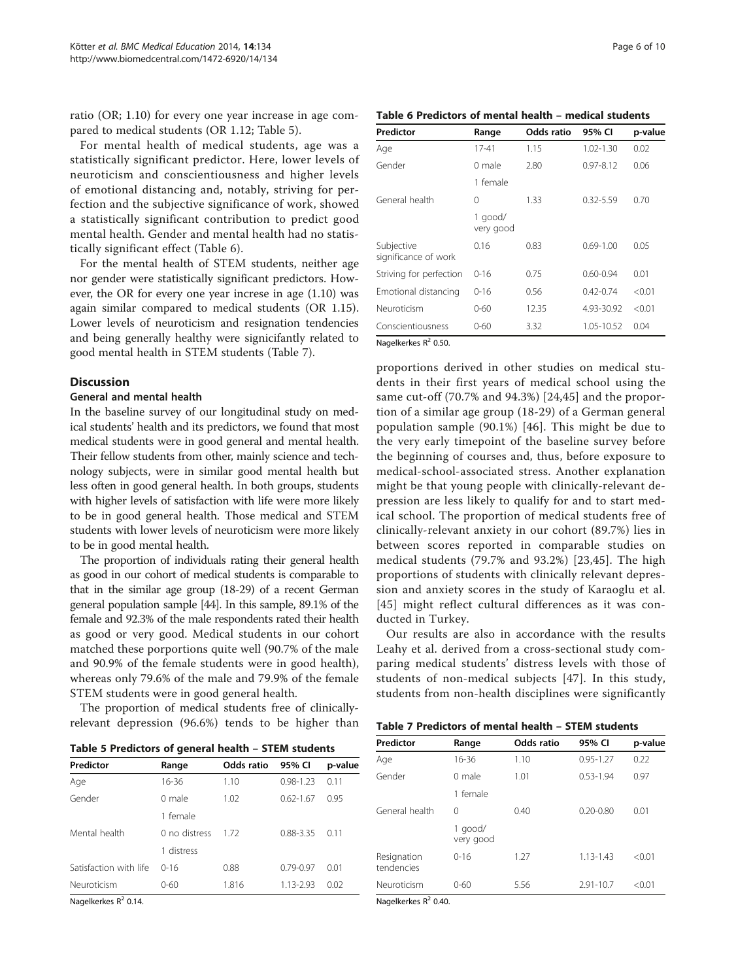ratio (OR; 1.10) for every one year increase in age compared to medical students (OR 1.12; Table 5).

For mental health of medical students, age was a statistically significant predictor. Here, lower levels of neuroticism and conscientiousness and higher levels of emotional distancing and, notably, striving for perfection and the subjective significance of work, showed a statistically significant contribution to predict good mental health. Gender and mental health had no statistically significant effect (Table 6).

For the mental health of STEM students, neither age nor gender were statistically significant predictors. However, the OR for every one year increse in age (1.10) was again similar compared to medical students (OR 1.15). Lower levels of neuroticism and resignation tendencies and being generally healthy were signicifantly related to good mental health in STEM students (Table 7).

#### **Discussion**

# General and mental health

In the baseline survey of our longitudinal study on medical students' health and its predictors, we found that most medical students were in good general and mental health. Their fellow students from other, mainly science and technology subjects, were in similar good mental health but less often in good general health. In both groups, students with higher levels of satisfaction with life were more likely to be in good general health. Those medical and STEM students with lower levels of neuroticism were more likely to be in good mental health.

The proportion of individuals rating their general health as good in our cohort of medical students is comparable to that in the similar age group (18-29) of a recent German general population sample [\[44\]](#page-8-0). In this sample, 89.1% of the female and 92.3% of the male respondents rated their health as good or very good. Medical students in our cohort matched these porportions quite well (90.7% of the male and 90.9% of the female students were in good health), whereas only 79.6% of the male and 79.9% of the female STEM students were in good general health.

The proportion of medical students free of clinicallyrelevant depression (96.6%) tends to be higher than

Table 5 Predictors of general health – STEM students

| Predictor              | Range         | Odds ratio | 95% CI        | p-value |
|------------------------|---------------|------------|---------------|---------|
| Age                    | 16-36         | 1.10       | $0.98 - 1.23$ | 0.11    |
| Gender                 | $0$ male      | 1.02       | 062-167       | 0.95    |
|                        | 1 female      |            |               |         |
| Mental health          | 0 no distress | 172        | 0.88-3.35     | 011     |
|                        | 1 distress    |            |               |         |
| Satisfaction with life | $0 - 16$      | 0.88       | $0.79 - 0.97$ | 0.01    |
| Neuroticism            | $0 - 60$      | 1.816      | 1.13-2.93     | 0.02    |

Nagelkerkes R<sup>2</sup> 0.14.

| Table 6 Predictors of mental health - medical students |  |
|--------------------------------------------------------|--|
|--------------------------------------------------------|--|

| Predictor                                                                                                                                                                                                                                                                                                           | Range                  | Odds ratio | 95% CI        | p-value |
|---------------------------------------------------------------------------------------------------------------------------------------------------------------------------------------------------------------------------------------------------------------------------------------------------------------------|------------------------|------------|---------------|---------|
| Age                                                                                                                                                                                                                                                                                                                 | $17 - 41$              | 1.15       | 1.02-1.30     | 0.02    |
| Gender                                                                                                                                                                                                                                                                                                              | $0$ male               | 2.80       | $0.97 - 8.12$ | 0.06    |
|                                                                                                                                                                                                                                                                                                                     | 1 female               |            |               |         |
| General health                                                                                                                                                                                                                                                                                                      | 0                      | 1.33       | 0.32-5.59     | 0.70    |
|                                                                                                                                                                                                                                                                                                                     | 1 $qood/$<br>very good |            |               |         |
| Subjective<br>significance of work                                                                                                                                                                                                                                                                                  | 0.16                   | 0.83       | $0.69 - 1.00$ | 0.05    |
| Striving for perfection                                                                                                                                                                                                                                                                                             | $0 - 16$               | 0.75       | $0.60 - 0.94$ | 0.01    |
| Emotional distancing                                                                                                                                                                                                                                                                                                | $0 - 16$               | 0.56       | $0.42 - 0.74$ | < 0.01  |
| Neuroticism                                                                                                                                                                                                                                                                                                         | 0-60                   | 12.35      | 4.93-30.92    | < 0.01  |
| Conscientiousness                                                                                                                                                                                                                                                                                                   | $0 - 60$               | 3.32       | 1.05-10.52    | 0.04    |
| $\frac{1}{2}$ $\frac{1}{2}$ $\frac{1}{2}$ $\frac{1}{2}$ $\frac{1}{2}$ $\frac{1}{2}$ $\frac{1}{2}$ $\frac{1}{2}$ $\frac{1}{2}$ $\frac{1}{2}$ $\frac{1}{2}$ $\frac{1}{2}$ $\frac{1}{2}$ $\frac{1}{2}$ $\frac{1}{2}$ $\frac{1}{2}$ $\frac{1}{2}$ $\frac{1}{2}$ $\frac{1}{2}$ $\frac{1}{2}$ $\frac{1}{2}$ $\frac{1}{2}$ |                        |            |               |         |

#### Nagelkerkes  $R^2$  0.50.

proportions derived in other studies on medical students in their first years of medical school using the same cut-off (70.7% and 94.3%) [[24](#page-8-0),[45\]](#page-8-0) and the proportion of a similar age group (18-29) of a German general population sample (90.1%) [\[46\]](#page-8-0). This might be due to the very early timepoint of the baseline survey before the beginning of courses and, thus, before exposure to medical-school-associated stress. Another explanation might be that young people with clinically-relevant depression are less likely to qualify for and to start medical school. The proportion of medical students free of clinically-relevant anxiety in our cohort (89.7%) lies in between scores reported in comparable studies on medical students (79.7% and 93.2%) [\[23,45](#page-8-0)]. The high proportions of students with clinically relevant depression and anxiety scores in the study of Karaoglu et al. [[45](#page-8-0)] might reflect cultural differences as it was conducted in Turkey.

Our results are also in accordance with the results Leahy et al. derived from a cross-sectional study comparing medical students' distress levels with those of students of non-medical subjects [[47\]](#page-8-0). In this study, students from non-health disciplines were significantly

| Table 7 Predictors of mental health - STEM students |  |  |  |
|-----------------------------------------------------|--|--|--|
|-----------------------------------------------------|--|--|--|

| Predictor                                        | Range                  | Odds ratio | 95% CI        | p-value |
|--------------------------------------------------|------------------------|------------|---------------|---------|
| Age                                              | 16-36                  | 1.10       | $0.95 - 1.27$ | 0.22    |
| Gender                                           | $0$ male               | 1.01       | $0.53 - 1.94$ | 0.97    |
|                                                  | 1 female               |            |               |         |
| General health                                   | 0                      | 0.40       | $0.20 - 0.80$ | 0.01    |
|                                                  | $1$ good/<br>very good |            |               |         |
| Resignation<br>tendencies                        | $0 - 16$               | 1.27       | $1.13 - 1.43$ | < 0.01  |
| Neuroticism                                      | $0 - 60$               | 5.56       | 2.91-10.7     | < 0.01  |
| $\sim$ $\sim$ $\sim$ $\sim$ $\sim$ $\sim$ $\sim$ |                        |            |               |         |

Nagelkerkes  $R^2$  0.40.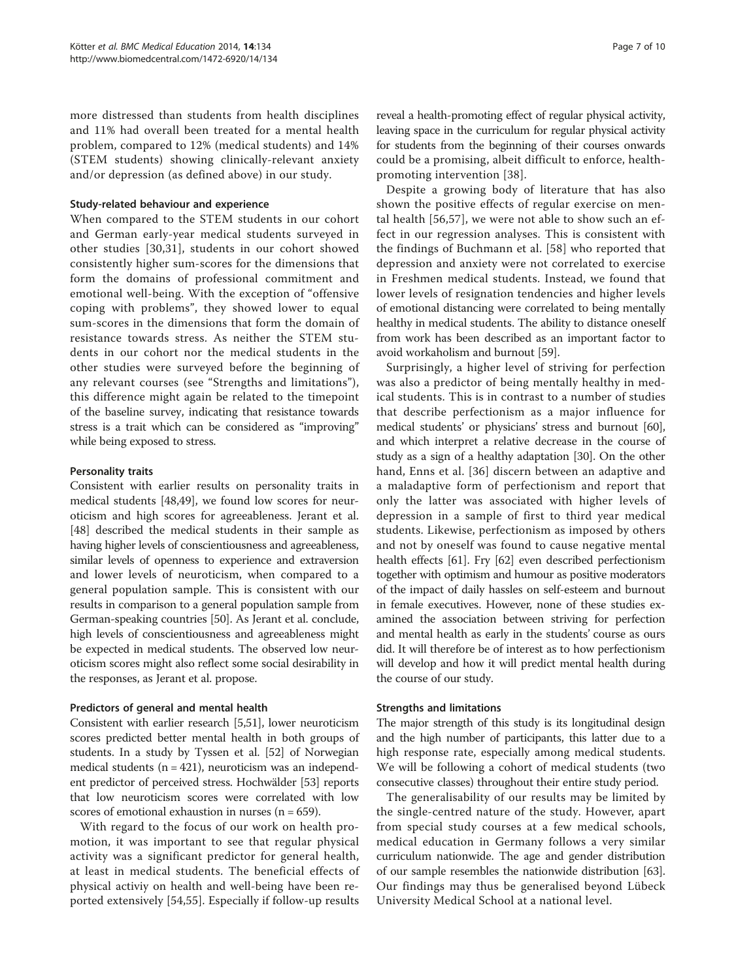more distressed than students from health disciplines and 11% had overall been treated for a mental health problem, compared to 12% (medical students) and 14% (STEM students) showing clinically-relevant anxiety and/or depression (as defined above) in our study.

# Study-related behaviour and experience

When compared to the STEM students in our cohort and German early-year medical students surveyed in other studies [[30](#page-8-0),[31\]](#page-8-0), students in our cohort showed consistently higher sum-scores for the dimensions that form the domains of professional commitment and emotional well-being. With the exception of "offensive coping with problems", they showed lower to equal sum-scores in the dimensions that form the domain of resistance towards stress. As neither the STEM students in our cohort nor the medical students in the other studies were surveyed before the beginning of any relevant courses (see "Strengths and limitations"), this difference might again be related to the timepoint of the baseline survey, indicating that resistance towards stress is a trait which can be considered as "improving" while being exposed to stress.

# Personality traits

Consistent with earlier results on personality traits in medical students [\[48,](#page-8-0)[49\]](#page-9-0), we found low scores for neuroticism and high scores for agreeableness. Jerant et al. [[48\]](#page-8-0) described the medical students in their sample as having higher levels of conscientiousness and agreeableness, similar levels of openness to experience and extraversion and lower levels of neuroticism, when compared to a general population sample. This is consistent with our results in comparison to a general population sample from German-speaking countries [\[50\]](#page-9-0). As Jerant et al. conclude, high levels of conscientiousness and agreeableness might be expected in medical students. The observed low neuroticism scores might also reflect some social desirability in the responses, as Jerant et al. propose.

#### Predictors of general and mental health

Consistent with earlier research [\[5](#page-8-0)[,51\]](#page-9-0), lower neuroticism scores predicted better mental health in both groups of students. In a study by Tyssen et al. [[52](#page-9-0)] of Norwegian medical students ( $n = 421$ ), neuroticism was an independent predictor of perceived stress. Hochwälder [\[53\]](#page-9-0) reports that low neuroticism scores were correlated with low scores of emotional exhaustion in nurses  $(n = 659)$ .

With regard to the focus of our work on health promotion, it was important to see that regular physical activity was a significant predictor for general health, at least in medical students. The beneficial effects of physical activiy on health and well-being have been reported extensively [\[54,55](#page-9-0)]. Especially if follow-up results

reveal a health-promoting effect of regular physical activity, leaving space in the curriculum for regular physical activity for students from the beginning of their courses onwards could be a promising, albeit difficult to enforce, healthpromoting intervention [[38\]](#page-8-0).

Despite a growing body of literature that has also shown the positive effects of regular exercise on mental health [[56,57](#page-9-0)], we were not able to show such an effect in our regression analyses. This is consistent with the findings of Buchmann et al. [\[58](#page-9-0)] who reported that depression and anxiety were not correlated to exercise in Freshmen medical students. Instead, we found that lower levels of resignation tendencies and higher levels of emotional distancing were correlated to being mentally healthy in medical students. The ability to distance oneself from work has been described as an important factor to avoid workaholism and burnout [\[59\]](#page-9-0).

Surprisingly, a higher level of striving for perfection was also a predictor of being mentally healthy in medical students. This is in contrast to a number of studies that describe perfectionism as a major influence for medical students' or physicians' stress and burnout [[60](#page-9-0)], and which interpret a relative decrease in the course of study as a sign of a healthy adaptation [\[30\]](#page-8-0). On the other hand, Enns et al. [[36\]](#page-8-0) discern between an adaptive and a maladaptive form of perfectionism and report that only the latter was associated with higher levels of depression in a sample of first to third year medical students. Likewise, perfectionism as imposed by others and not by oneself was found to cause negative mental health effects [\[61\]](#page-9-0). Fry [[62](#page-9-0)] even described perfectionism together with optimism and humour as positive moderators of the impact of daily hassles on self-esteem and burnout in female executives. However, none of these studies examined the association between striving for perfection and mental health as early in the students' course as ours did. It will therefore be of interest as to how perfectionism will develop and how it will predict mental health during the course of our study.

#### Strengths and limitations

The major strength of this study is its longitudinal design and the high number of participants, this latter due to a high response rate, especially among medical students. We will be following a cohort of medical students (two consecutive classes) throughout their entire study period.

The generalisability of our results may be limited by the single-centred nature of the study. However, apart from special study courses at a few medical schools, medical education in Germany follows a very similar curriculum nationwide. The age and gender distribution of our sample resembles the nationwide distribution [[63](#page-9-0)]. Our findings may thus be generalised beyond Lübeck University Medical School at a national level.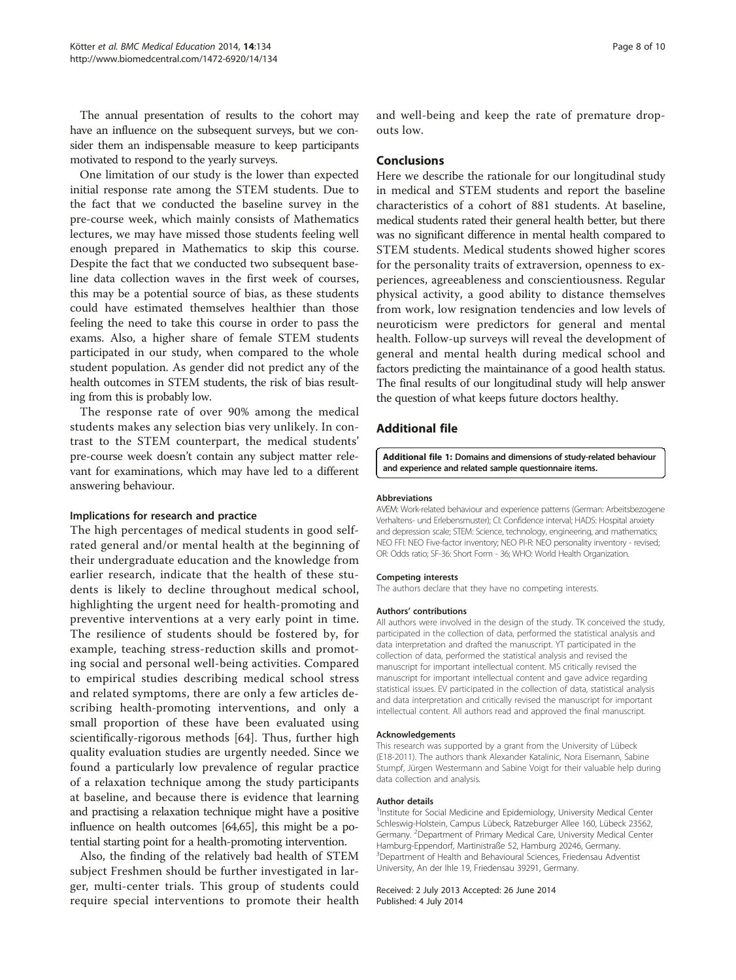<span id="page-7-0"></span>The annual presentation of results to the cohort may have an influence on the subsequent surveys, but we consider them an indispensable measure to keep participants motivated to respond to the yearly surveys.

One limitation of our study is the lower than expected initial response rate among the STEM students. Due to the fact that we conducted the baseline survey in the pre-course week, which mainly consists of Mathematics lectures, we may have missed those students feeling well enough prepared in Mathematics to skip this course. Despite the fact that we conducted two subsequent baseline data collection waves in the first week of courses, this may be a potential source of bias, as these students could have estimated themselves healthier than those feeling the need to take this course in order to pass the exams. Also, a higher share of female STEM students participated in our study, when compared to the whole student population. As gender did not predict any of the health outcomes in STEM students, the risk of bias resulting from this is probably low.

The response rate of over 90% among the medical students makes any selection bias very unlikely. In contrast to the STEM counterpart, the medical students' pre-course week doesn't contain any subject matter relevant for examinations, which may have led to a different answering behaviour.

#### Implications for research and practice

The high percentages of medical students in good selfrated general and/or mental health at the beginning of their undergraduate education and the knowledge from earlier research, indicate that the health of these students is likely to decline throughout medical school, highlighting the urgent need for health-promoting and preventive interventions at a very early point in time. The resilience of students should be fostered by, for example, teaching stress-reduction skills and promoting social and personal well-being activities. Compared to empirical studies describing medical school stress and related symptoms, there are only a few articles describing health-promoting interventions, and only a small proportion of these have been evaluated using scientifically-rigorous methods [[64\]](#page-9-0). Thus, further high quality evaluation studies are urgently needed. Since we found a particularly low prevalence of regular practice of a relaxation technique among the study participants at baseline, and because there is evidence that learning and practising a relaxation technique might have a positive influence on health outcomes [\[64,65](#page-9-0)], this might be a potential starting point for a health-promoting intervention.

Also, the finding of the relatively bad health of STEM subject Freshmen should be further investigated in larger, multi-center trials. This group of students could require special interventions to promote their health

and well-being and keep the rate of premature dropouts low.

#### Conclusions

Here we describe the rationale for our longitudinal study in medical and STEM students and report the baseline characteristics of a cohort of 881 students. At baseline, medical students rated their general health better, but there was no significant difference in mental health compared to STEM students. Medical students showed higher scores for the personality traits of extraversion, openness to experiences, agreeableness and conscientiousness. Regular physical activity, a good ability to distance themselves from work, low resignation tendencies and low levels of neuroticism were predictors for general and mental health. Follow-up surveys will reveal the development of general and mental health during medical school and factors predicting the maintainance of a good health status. The final results of our longitudinal study will help answer the question of what keeps future doctors healthy.

## Additional file

[Additional file 1:](http://www.biomedcentral.com/content/supplementary/1472-6920-14-134-S1.docx) Domains and dimensions of study-related behaviour and experience and related sample questionnaire items.

#### Abbreviations

AVEM: Work-related behaviour and experience patterns (German: Arbeitsbezogene Verhaltens- und Erlebensmuster); CI: Confidence interval; HADS: Hospital anxiety and depression scale; STEM: Science, technology, engineering, and mathematics; NEO FFI: NEO Five-factor inventory; NEO PI-R: NEO personality inventory - revised; OR: Odds ratio; SF-36: Short Form - 36; WHO: World Health Organization.

#### Competing interests

The authors declare that they have no competing interests.

#### Authors' contributions

All authors were involved in the design of the study. TK conceived the study, participated in the collection of data, performed the statistical analysis and data interpretation and drafted the manuscript. YT participated in the collection of data, performed the statistical analysis and revised the manuscript for important intellectual content. MS critically revised the manuscript for important intellectual content and gave advice regarding statistical issues. EV participated in the collection of data, statistical analysis and data interpretation and critically revised the manuscript for important intellectual content. All authors read and approved the final manuscript.

#### Acknowledgements

This research was supported by a grant from the University of Lübeck (E18-2011). The authors thank Alexander Katalinic, Nora Eisemann, Sabine Stumpf, Jürgen Westermann and Sabine Voigt for their valuable help during data collection and analysis.

#### Author details

<sup>1</sup>Institute for Social Medicine and Epidemiology, University Medical Center Schleswig-Holstein, Campus Lübeck, Ratzeburger Allee 160, Lübeck 23562, Germany. <sup>2</sup>Department of Primary Medical Care, University Medical Center Hamburg-Eppendorf, Martinistraße 52, Hamburg 20246, Germany. <sup>3</sup>Department of Health and Behavioural Sciences, Friedensau Adventist University, An der Ihle 19, Friedensau 39291, Germany.

#### Received: 2 July 2013 Accepted: 26 June 2014 Published: 4 July 2014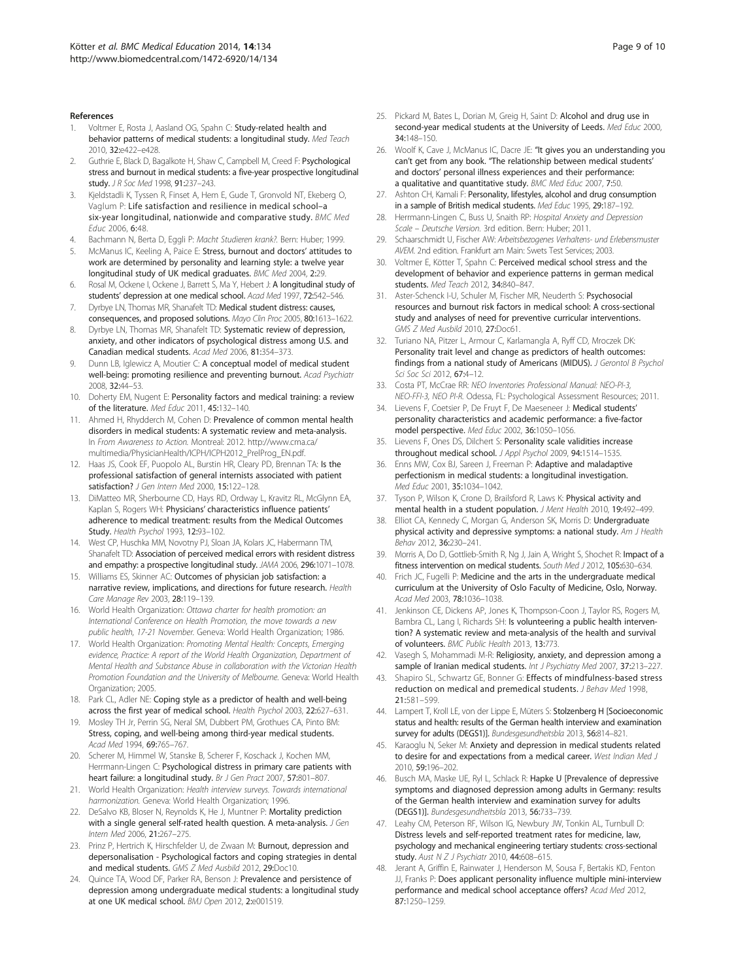#### <span id="page-8-0"></span>References

- Voltmer E, Rosta J, Aasland OG, Spahn C: Study-related health and behavior patterns of medical students: a longitudinal study. Med Teach 2010, 32:e422–e428.
- 2. Guthrie E, Black D, Bagalkote H, Shaw C, Campbell M, Creed F: Psychological stress and burnout in medical students: a five-year prospective longitudinal study. J R Soc Med 1998, 91:237–243.
- 3. Kjeldstadli K, Tyssen R, Finset A, Hem E, Gude T, Gronvold NT, Ekeberg O, Vaglum P: Life satisfaction and resilience in medical school–a six-year longitudinal, nationwide and comparative study. BMC Med Educ 2006, 6:48.
- 4. Bachmann N, Berta D, Eggli P: Macht Studieren krank?. Bern: Huber; 1999.
- 5. McManus IC, Keeling A, Paice E: Stress, burnout and doctors' attitudes to work are determined by personality and learning style: a twelve year longitudinal study of UK medical graduates. BMC Med 2004, 2:29.
- 6. Rosal M, Ockene I, Ockene J, Barrett S, Ma Y, Hebert J: A longitudinal study of students' depression at one medical school. Acad Med 1997, 72:542–546.
- 7. Dyrbye LN, Thomas MR, Shanafelt TD: Medical student distress: causes, consequences, and proposed solutions. Mayo Clin Proc 2005, 80:1613-1622.
- 8. Dyrbye LN, Thomas MR, Shanafelt TD: Systematic review of depression, anxiety, and other indicators of psychological distress among U.S. and Canadian medical students. Acad Med 2006, 81:354–373.
- 9. Dunn LB, Iglewicz A, Moutier C: A conceptual model of medical student well-being: promoting resilience and preventing burnout. Acad Psychiatr 2008, 32:44–53.
- 10. Doherty EM, Nugent E: Personality factors and medical training: a review of the literature. Med Educ 2011, 45:132–140.
- 11. Ahmed H, Rhydderch M, Cohen D: Prevalence of common mental health disorders in medical students: A systematic review and meta-analysis. In From Awareness to Action. Montreal: 2012. [http://www.cma.ca/](http://www.cma.ca/multimedia/PhysicianHealth/ICPH/ICPH2012_PrelProg_EN.pdf) [multimedia/PhysicianHealth/ICPH/ICPH2012\\_PrelProg\\_EN.pdf](http://www.cma.ca/multimedia/PhysicianHealth/ICPH/ICPH2012_PrelProg_EN.pdf).
- 12. Haas JS, Cook EF, Puopolo AL, Burstin HR, Cleary PD, Brennan TA: Is the professional satisfaction of general internists associated with patient satisfaction? J Gen Intern Med 2000, 15:122-128.
- 13. DiMatteo MR, Sherbourne CD, Hays RD, Ordway L, Kravitz RL, McGlynn EA, Kaplan S, Rogers WH: Physicians' characteristics influence patients' adherence to medical treatment: results from the Medical Outcomes Study. Health Psychol 1993, 12:93–102.
- 14. West CP, Huschka MM, Novotny PJ, Sloan JA, Kolars JC, Habermann TM, Shanafelt TD: Association of perceived medical errors with resident distress and empathy: a prospective longitudinal study. JAMA 2006, 296:1071–1078.
- 15. Williams ES, Skinner AC: Outcomes of physician job satisfaction: a narrative review, implications, and directions for future research. Health Care Manage Rev 2003, 28:119–139.
- 16. World Health Organization: Ottawa charter for health promotion: an International Conference on Health Promotion, the move towards a new public health, 17-21 November. Geneva: World Health Organization; 1986.
- 17. World Health Organization: Promoting Mental Health: Concepts, Emerging evidence, Practice: A report of the World Health Organization, Department of Mental Health and Substance Abuse in collaboration with the Victorian Health Promotion Foundation and the University of Melbourne. Geneva: World Health Organization; 2005.
- 18. Park CL, Adler NE: Coping style as a predictor of health and well-being across the first year of medical school. Health Psychol 2003, 22:627-631.
- 19. Mosley TH Jr, Perrin SG, Neral SM, Dubbert PM, Grothues CA, Pinto BM: Stress, coping, and well-being among third-year medical students. Acad Med 1994, 69:765–767.
- 20. Scherer M, Himmel W, Stanske B, Scherer F, Koschack J, Kochen MM, Herrmann-Lingen C: Psychological distress in primary care patients with heart failure: a longitudinal study. Br J Gen Pract 2007, 57:801–807.
- 21. World Health Organization: Health interview surveys. Towards international harmonization. Geneva: World Health Organization; 1996.
- 22. DeSalvo KB, Bloser N, Reynolds K, He J, Muntner P: Mortality prediction with a single general self-rated health question. A meta-analysis. J Gen Intern Med 2006, 21:267–275.
- 23. Prinz P, Hertrich K, Hirschfelder U, de Zwaan M: Burnout, depression and depersonalisation - Psychological factors and coping strategies in dental and medical students. GMS Z Med Ausbild 2012, 29:Doc10.
- 24. Quince TA, Wood DF, Parker RA, Benson J: Prevalence and persistence of depression among undergraduate medical students: a longitudinal study at one UK medical school. BMJ Open 2012, 2:e001519.
- 25. Pickard M, Bates L, Dorian M, Greig H, Saint D: Alcohol and drug use in second-year medical students at the University of Leeds. Med Educ 2000, 34:148–150.
- 26. Woolf K, Cave J, McManus IC, Dacre JE: "It gives you an understanding you can't get from any book. "The relationship between medical students' and doctors' personal illness experiences and their performance: a qualitative and quantitative study. BMC Med Educ 2007, 7:50.
- 27. Ashton CH, Kamali F: Personality, lifestyles, alcohol and drug consumption in a sample of British medical students. Med Educ 1995, 29:187–192.
- 28. Herrmann-Lingen C, Buss U, Snaith RP: Hospital Anxiety and Depression Scale – Deutsche Version. 3rd edition. Bern: Huber; 2011.
- 29. Schaarschmidt U, Fischer AW: Arbeitsbezogenes Verhaltens- und Erlebensmuster AVEM. 2nd edition. Frankfurt am Main: Swets Test Services; 2003.
- 30. Voltmer E, Kötter T, Spahn C: Perceived medical school stress and the development of behavior and experience patterns in german medical students. Med Teach 2012, 34:840–847.
- 31. Aster-Schenck I-U, Schuler M, Fischer MR, Neuderth S: Psychosocial resources and burnout risk factors in medical school: A cross-sectional study and analyses of need for preventive curricular interventions. GMS Z Med Ausbild 2010, 27:Doc61.
- 32. Turiano NA, Pitzer L, Armour C, Karlamangla A, Ryff CD, Mroczek DK: Personality trait level and change as predictors of health outcomes: findings from a national study of Americans (MIDUS). J Gerontol B Psychol Sci Soc Sci 2012, 67:4–12.
- 33. Costa PT, McCrae RR: NEO Inventories Professional Manual: NEO-PI-3, NEO-FFI-3, NEO PI-R. Odessa, FL: Psychological Assessment Resources; 2011.
- 34. Lievens F, Coetsier P, De Fruyt F, De Maeseneer J: Medical students' personality characteristics and academic performance: a five-factor model perspective. Med Educ 2002, 36:1050–1056.
- 35. Lievens F, Ones DS, Dilchert S: Personality scale validities increase throughout medical school. J Appl Psychol 2009, 94:1514-1535
- 36. Enns MW, Cox BJ, Sareen J, Freeman P: Adaptive and maladaptive perfectionism in medical students: a longitudinal investigation. Med Educ 2001, 35:1034–1042.
- 37. Tyson P, Wilson K, Crone D, Brailsford R, Laws K: Physical activity and mental health in a student population. J Ment Health 2010, 19:492–499.
- 38. Elliot CA, Kennedy C, Morgan G, Anderson SK, Morris D: Undergraduate physical activity and depressive symptoms: a national study. Am J Health Behav 2012, 36:230–241.
- 39. Morris A, Do D, Gottlieb-Smith R, Ng J, Jain A, Wright S, Shochet R: Impact of a fitness intervention on medical students. South Med J 2012, 105:630–634.
- 40. Frich JC, Fugelli P: Medicine and the arts in the undergraduate medical curriculum at the University of Oslo Faculty of Medicine, Oslo, Norway. Acad Med 2003, 78:1036-1038.
- 41. Jenkinson CE, Dickens AP, Jones K, Thompson-Coon J, Taylor RS, Rogers M, Bambra CL, Lang I, Richards SH: Is volunteering a public health intervention? A systematic review and meta-analysis of the health and survival of volunteers. BMC Public Health 2013, 13:773.
- 42. Vasegh S, Mohammadi M-R: Religiosity, anxiety, and depression among a sample of Iranian medical students. Int J Psychiatry Med 2007, 37:213-227.
- 43. Shapiro SL, Schwartz GE, Bonner G: Effects of mindfulness-based stress reduction on medical and premedical students. J Behav Med 1998, 21:581–599.
- 44. Lampert T, Kroll LE, von der Lippe E, Müters S: Stolzenberg H [Socioeconomic status and health: results of the German health interview and examination survey for adults (DEGS1)]. Bundesgesundheitsbla 2013, 56:814–821.
- 45. Karaoglu N, Seker M: Anxiety and depression in medical students related to desire for and expectations from a medical career. West Indian Med J 2010, 59:196–202.
- 46. Busch MA, Maske UE, Ryl L, Schlack R: Hapke U [Prevalence of depressive symptoms and diagnosed depression among adults in Germany: results of the German health interview and examination survey for adults (DEGS1)]. Bundesgesundheitsbla 2013, 56:733–739.
- 47. Leahy CM, Peterson RF, Wilson IG, Newbury JW, Tonkin AL, Turnbull D: Distress levels and self-reported treatment rates for medicine, law, psychology and mechanical engineering tertiary students: cross-sectional study. Aust N Z J Psychiatr 2010, 44:608-615.
- Jerant A, Griffin E, Rainwater J, Henderson M, Sousa F, Bertakis KD, Fenton JJ, Franks P: Does applicant personality influence multiple mini-interview performance and medical school acceptance offers? Acad Med 2012, 87:1250–1259.